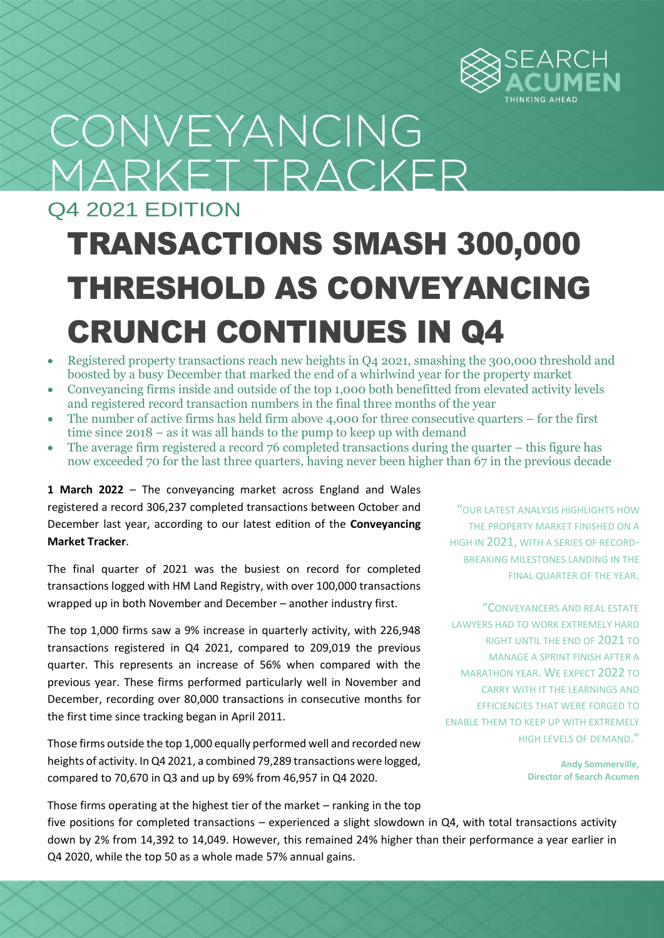

# CONVEYANCING MARKET TRACKER

Q4 2021 EDITION

# TRANSACTIONS SMASH 300,000 THRESHOLD AS CONVEYANCING CRUNCH CONTINUES IN Q4

- Registered property transactions reach new heights in Q4 2021, smashing the 300,000 threshold and boosted by a busy December that marked the end of a whirlwind year for the property market
- Conveyancing firms inside and outside of the top 1,000 both benefitted from elevated activity levels and registered record transaction numbers in the final three months of the year
- The number of active firms has held firm above 4,000 for three consecutive quarters for the first time since 2018 – as it was all hands to the pump to keep up with demand
- The average firm registered a record 76 completed transactions during the quarter this figure has now exceeded 70 for the last three quarters, having never been higher than 67 in the previous decade

**1 March 2022** – The conveyancing market across England and Wales registered a record 306,237 completed transactions between October and December last year, according to our latest edition of the **Conveyancing Market Tracker**.

The final quarter of 2021 was the busiest on record for completed transactions logged with HM Land Registry, with over 100,000 transactions wrapped up in both November and December – another industry first.

The top 1,000 firms saw a 9% increase in quarterly activity, with 226,948 transactions registered in Q4 2021, compared to 209,019 the previous quarter. This represents an increase of 56% when compared with the previous year. These firms performed particularly well in November and December, recording over 80,000 transactions in consecutive months for the first time since tracking began in April 2011.

Those firms outside the top 1,000 equally performed well and recorded new heights of activity. In Q4 2021, a combined 79,289 transactions were logged, compared to 70,670 in Q3 and up by 69% from 46,957 in Q4 2020.

"OUR LATEST ANALYSIS HIGHLIGHTS HOW THE PROPERTY MARKET FINISHED ON A HIGH IN 2021, WITH A SERIES OF RECORD-BREAKING MILESTONES LANDING IN THE FINAL QUARTER OF THE YEAR.

"CONVEYANCERS AND REAL ESTATE LAWYERS HAD TO WORK EXTREMELY HARD RIGHT UNTIL THE END OF 2021 TO MANAGE A SPRINT FINISH AFTER A MARATHON YEAR. WE EXPECT 2022 TO CARRY WITH IT THE LEARNINGS AND EFFICIENCIES THAT WERE FORGED TO ENABLE THEM TO KEEP UP WITH EXTREMELY HIGH LEVELS OF DEMAND."

> **Andy Sommerville, Director of Search Acumen**

Those firms operating at the highest tier of the market – ranking in the top

five positions for completed transactions – experienced a slight slowdown in Q4, with total transactions activity down by 2% from 14,392 to 14,049. However, this remained 24% higher than their performance a year earlier in Q4 2020, while the top 50 as a whole made 57% annual gains.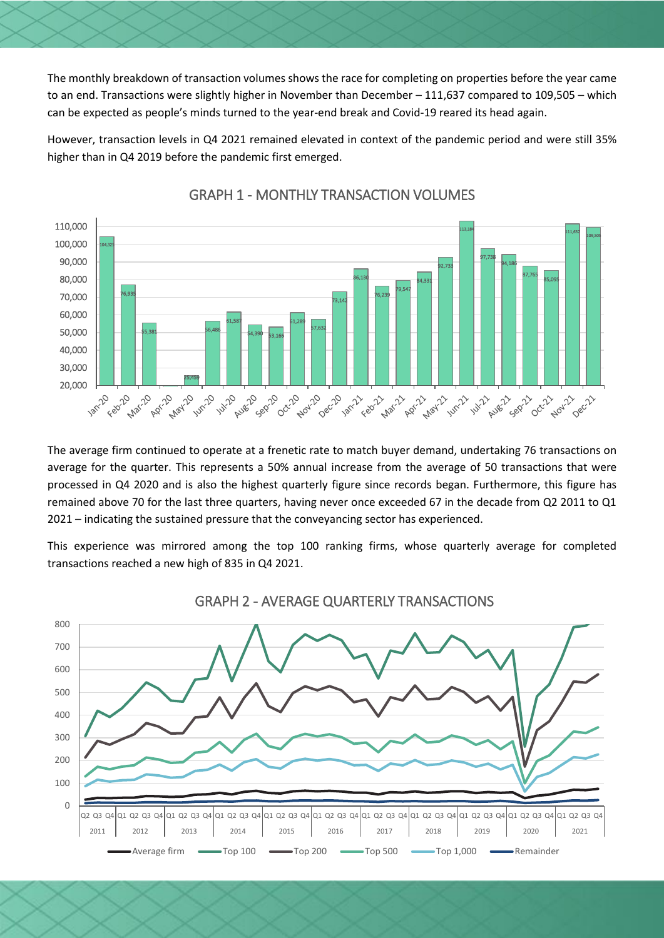The monthly breakdown of transaction volumes shows the race for completing on properties before the year came to an end. Transactions were slightly higher in November than December – 111,637 compared to 109,505 – which can be expected as people's minds turned to the year-end break and Covid-19 reared its head again.

However, transaction levels in Q4 2021 remained elevated in context of the pandemic period and were still 35% higher than in Q4 2019 before the pandemic first emerged.



### GRAPH 1 - MONTHLY TRANSACTION VOLUMES

The average firm continued to operate at a frenetic rate to match buyer demand, undertaking 76 transactions on average for the quarter. This represents a 50% annual increase from the average of 50 transactions that were processed in Q4 2020 and is also the highest quarterly figure since records began. Furthermore, this figure has remained above 70 for the last three quarters, having never once exceeded 67 in the decade from Q2 2011 to Q1 2021 – indicating the sustained pressure that the conveyancing sector has experienced.

This experience was mirrored among the top 100 ranking firms, whose quarterly average for completed transactions reached a new high of 835 in Q4 2021.



### GRAPH 2 - AVERAGE QUARTERLY TRANSACTIONS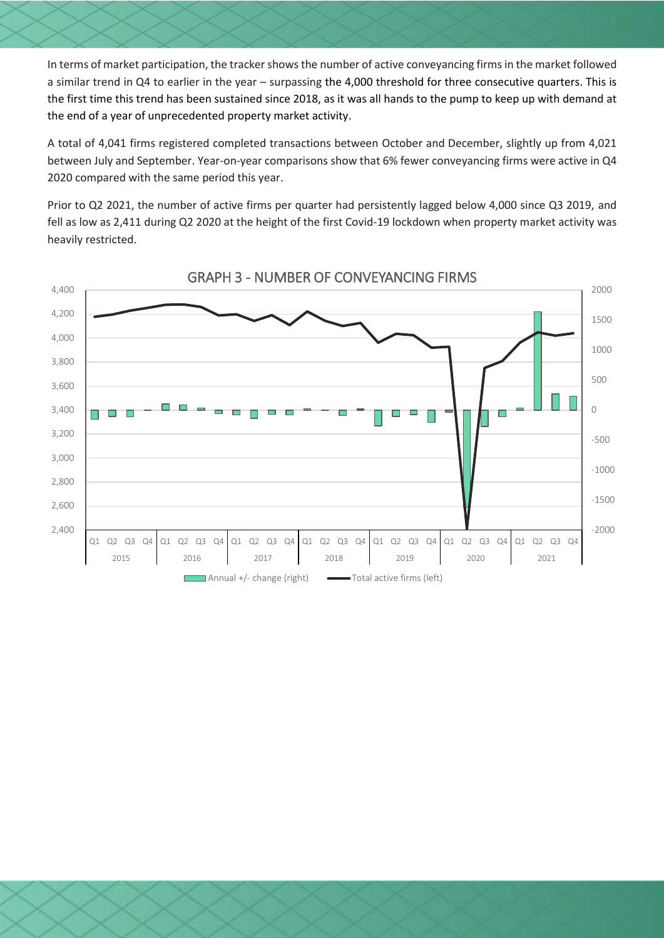In terms of market participation, the tracker showsthe number of active conveyancing firms in the market followed a similar trend in Q4 to earlier in the year – surpassing the 4,000 threshold for three consecutive quarters. This is the first time this trend has been sustained since 2018, as it was all hands to the pump to keep up with demand at the end of a year of unprecedented property market activity.

A total of 4,041 firms registered completed transactions between October and December, slightly up from 4,021 between July and September. Year-on-year comparisons show that 6% fewer conveyancing firms were active in Q4 2020 compared with the same period this year.

Prior to Q2 2021, the number of active firms per quarter had persistently lagged below 4,000 since Q3 2019, and fell as low as 2,411 during Q2 2020 at the height of the first Covid-19 lockdown when property market activity was heavily restricted.